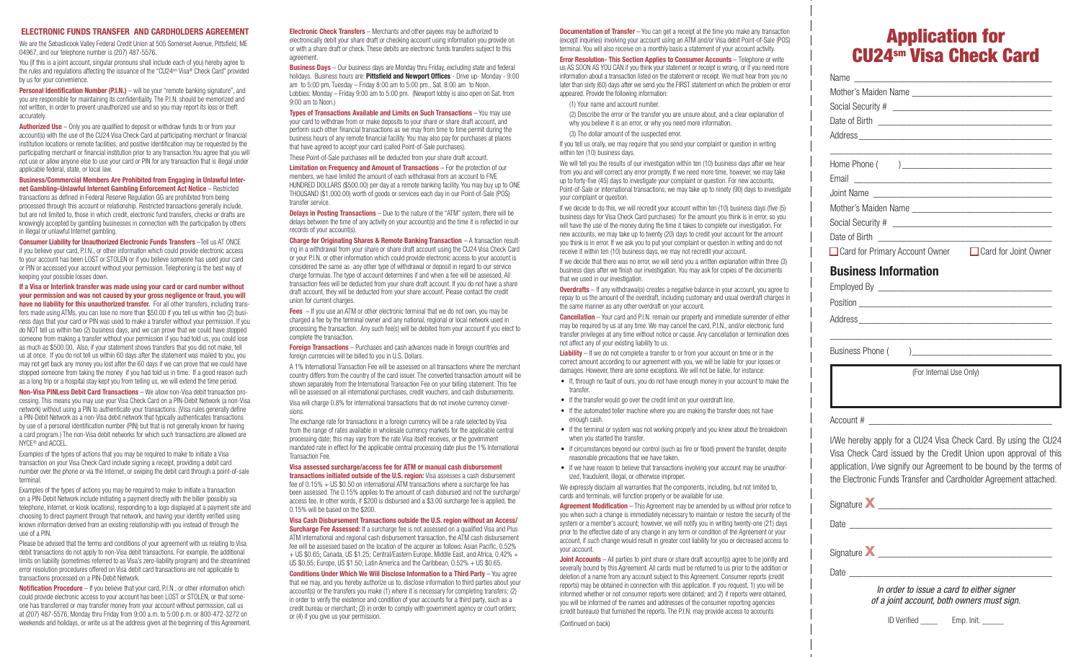#### ELECTRONIC FUNDS TRANSFER AND CARDHOLDERS AGREEMENT

We are the Sebasticook Valley Federal Credit Union at 505 Somerset Avenue, Pittsfield, ME 04967, and our telephone number is (207) 487-5576.

You (if this is a joint account, singular pronouns shall include each of you) hereby agree to the rules and regulations affecting the issuance of the "CU24sm Visa® Check Card" provided by us for your convenience.

**Personal Identification Number (P.I.N.)** – will be your "remote banking signature", and you are responsible for maintaining its confidentiality. The P.I.N. should be memorized and not written, in order to prevent unauthorized use and so you may report its loss or theft accurately.

Authorized Use – Only you are qualified to deposit or withdraw funds to or from your account(s) with the use of the CU24 Visa Check Card at participating merchant or financial institution locations or remote facilities, and positive identification may be requested by the participating merchant or financial institution prior to any transaction.You agree that you will not use or allow anyone else to use your card or PIN for any transaction that is illegal under applicable federal, state, or local law.

#### Business/Commercial Members Are Prohibited from Engaging in Unlawful Internet Gambling–Unlawful Internet Gambling Enforcement Act Notice – Restricted transactions as defined in Federal Reserve Regulation GG are prohibited from being

processed through this account or relationship. Restricted transactions generally include, but are not limited to, those in which credit, electronic fund transfers, checks or drafts are knowingly accepted by gambling businesses in connection with the participation by others in illegal or unlawful Internet gambling.

Consumer Liability for Unauthorized Electronic Funds Transfers –Tell us AT ONCE if you believe your card, P.I.N., or other information which could provide electronic access to your account has been LOST or STOLEN or if you believe someone has used your card or PIN or accessed your account without your permission. Telephoning is the best way of keeping your possible losses down.

#### If a Visa or Interlink transfer was made using your card or card number without your permission and was not caused by your gross negligence or fraud, you will have no liability for this unauthorized transfer. For all other transfers, including trans-

fers made using ATMs, you can lose no more than \$50.00 if you tell us within two (2) business days that your card or PIN was used to make a transfer without your permission. If you do NOT tell us within two (2) business days, and we can prove that we could have stopped someone from making a transfer without your permission if you had told us, you could lose as much as \$500.00. Also, if your statement shows transfers that you did not make, tell us at once. If you do not tell us within 60 days after the statement was mailed to you, you may not get back any money you lost after the 60 days if we can prove that we could have stopped someone from taking the money if you had told us in time. If a good reason such as a long trip or a hospital stay kept you from telling us, we will extend the time period.

Non-Visa PINLess Debit Card Transactions – We allow non-Visa debit transaction processing. This means you may use your Visa Check Card on a PIN-Debit Network (a non-Visa network) without using a PIN to authenticate your transactions. (Visa rules generally define a PIN-Debit Network as a non-Visa debit network that typically authenticates transactions by use of a personal identification number (PIN) but that is not generally known for having a card program.) The non-Visa debit networks for which such transactions are allowed are NYCE® and ACCEL.

Examples of the types of actions that you may be required to make to initiate a Visa transaction on your Visa Check Card include signing a receipt, providing a debit card number over the phone or via the Internet, or swiping the debit card through a point-of-sale terminal.

Examples of the types of actions you may be required to make to initiate a transaction on a PIN-Debit Network include initiating a payment directly with the biller (possibly via telephone, Internet, or kiosk locations), responding to a logo displayed at a payment site and choosing to direct payment through that network, and having your identity verified using known information derived from an existing relationship with you instead of through the use of a PIN.

Please be advised that the terms and conditions of your agreement with us relating to Visa debit transactions do not apply to non-Visa debit transactions. For example, the additional limits on liability (sometimes referred to as Visa's zero-liability program) and the streamlined error resolution procedures offered on Visa debit card transactions are not applicable to transactions processed on a PIN-Debit Network.

Notification Procedure – If you believe that your card, P.I.N., or other information which could provide electronic access to your account has been LOST or STOLEN, or that someone has transferred or may transfer money from your account without permission, call us at (207) 487-5576, Monday thru Friday from 9:00 a.m. to 5:00 p.m. or 800-472-3272 on weekends and holidays, or write us at the address given at the beginning of this Agreement. Electronic Check Transfers – Merchants and other payees may be authorized to electronically debit your share draft or checking account using information you provide on or with a share draft or check. These debits are electronic funds transfers subject to this agreement.

**Business Days** – Our business days are Monday thru Friday, excluding state and federal holidays. Business hours are: Pittsfield and Newport Offices - Drive up- Monday - 9:00 am to 5:00 pm, Tuesday – Friday 8:00 am to 5:00 pm., Sat. 8:00 am to Noon. Lobbies: Monday – Friday 9:00 am to 5:00 pm. (Newport lobby is also open on Sat. from 9:00 am to Noon.

Types of Transactions Available and Limits on Such Transactions – You may use your card to withdraw from or make deposits to your share or share draft account, and perform such other financial transactions as we may from time to time permit during the business hours of any remote financial facility. You may also pay for purchases at places that have agreed to accept your card (called Point-of-Sale purchases).

These Point-of-Sale purchases will be deducted from your share draft account.

Limitation on Frequency and Amount of Transactions – For the protection of our members, we have limited the amount of each withdrawal from an account to FIVE HUNDRED DOLLARS (\$500.00) per day at a remote banking facility. You may buy up to ONE THOUSAND (\$1,000.00) worth of goods or services each day in our Point-of-Sale (POS) transfer service.

**Delays in Posting Transactions** – Due to the nature of the "ATM" system, there will be delays between the time of any activity on your account(s) and the time it is reflected in our records of your account(s).

Charge for Originating Shares & Remote Banking Transaction – A transaction resulting in a withdrawal from your share or share draft account using the CU24 Visa Check Card or your P.I.N. or other information which could provide electronic access to your account is considered the same as any other type of withdrawal or deposit in regard to our service charge formulas. The type of account determines if and when a fee will be assessed. All transaction fees will be deducted from your share draft account. If you do not have a share draft account, they will be deducted from your share account. Please contact the credit union for current charges.

**Fees** – If you use an ATM or other electronic terminal that we do not own, you may be charged a fee by the terminal owner and any national, regional or local network used in processing the transaction. Any such fee(s) will be debited from your account if you elect to complete the transaction.

Foreign Transactions – Purchases and cash advances made in foreign countries and foreign currencies will be billed to you in U.S. Dollars.

A 1% International Transaction Fee will be assessed on all transactions where the merchant country differs from the country of the card issuer. The converted transaction amount will be shown separately from the International Transaction Fee on your billing statement. This fee will be assessed on all international purchases, credit vouchers, and cash disbursements.

Visa will charge 0.8% for international transactions that do not involve currency conversions.

The exchange rate for transactions in a foreign currency will be a rate selected by Visa from the range of rates available in wholesale currency markets for the applicable central processing date; this may vary from the rate Visa itself receives, or the government mandated rate in effect for the applicable central processing date plus the 1% International Transaction Fee.

### Visa assessed surcharge/access fee for ATM or manual cash disbursement

transactions initiated outside of the U.S. region: Visa assesses a cash disbursement fee of 0.15% + US \$0.50 on international ATM transactions where a surcharge fee has been assessed. The 0.15% applies to the amount of cash disbursed and not the surcharge/ access fee. In other words, if \$200 is disbursed and a \$3.00 surcharge fee is applied, the 0.15% will be based on the \$200.

#### Visa Cash Disbursement Transactions outside the U.S. region without an Access/

**Surcharge Fee Assessed:** If a surcharge fee is not assessed on a qualified Visa and Plus ATM international and regional cash disbursement transaction, the ATM cash disbursement fee will be assessed based on the location of the acquirer as follows: Asian Pacific, 0.52% + US \$0.65; Canada, US \$1.25; Central/Eastern Europe, Middle East, and Africa, 0.42% + US \$0.55; Europe, US \$1.50; Latin America and the Caribbean, O.52% + US \$0.65.

## Conditions Under Which We Will Disclose Information to a Third Party – You agree

that we may, and you hereby authorize us to, disclose information to third parties about your account(s) or the transfers you make (1) where it is necessary for completing transfers; (2) in order to verify the existence and condition of your accounts for a third party, such as a credit bureau or merchant; (3) in order to comply with government agency or court orders; or (4) if you give us your permission.

**Documentation of Transfer** – You can get a receipt at the time you make any transaction (except inquiries) involving your account using an ATM and/or Visa debit Point-of-Sale (POS) terminal. You will also receive on a monthly basis a statement of your account activity.

Error Resolution- This Section Applies to Consumer Accounts – Telephone or write us AS SOON AS YOU CAN if you think your statement or receipt is wrong, or if you need more information about a transaction listed on the statement or receipt. We must hear from you no later than sixty (60) days after we send you the FIRST statement on which the problem or error appeared. Provide the following information:

(1) Your name and account number.

- (2) Describe the error or the transfer you are unsure about, and a clear explanation of why you believe it is an error, or why you need more information.
- (3) The dollar amount of the suspected error.

If you tell us orally, we may require that you send your complaint or question in writing within ten (10) business days.

We will tell you the results of our investigation within ten (10) business days after we hear from you and will correct any error promptly. If we need more time, however, we may take up to forty-five (45) days to investigate your complaint or question. For new accounts, Point-of-Sale or international transactions, we may take up to ninety (90) days to investigate your complaint or question.

If we decide to do this, we will recredit your account within ten (10) business days (five (5) business days for Visa Check Card purchases) for the amount you think is in error, so you will have the use of the money during the time it takes to complete our investigation. For new accounts, we may take up to twenty (20) days to credit your account for the amount you think is in error. If we ask you to put your complaint or question in writing and do not receive it within ten (10) business days, we may not recredit your account.

If we decide that there was no error, we will send you a written explanation within three (3) business days after we finish our investigation. You may ask for copies of the documents that we used in our investigation.

**Overdrafts** – If any withdrawal(s) creates a negative balance in your account, you agree to repay to us the amount of the overdraft, including customary and usual overdraft charges in the same manner as any other overdraft on your account.

Cancellation – Your card and P.I.N. remain our property and immediate surrender of either may be required by us at any time. We may cancel the card, P.I.N., and/or electronic fund transfer privileges at any time without notice or cause. Any cancellation or termination does not affect any of your existing liability to us.

Liability – If we do not complete a transfer to or from your account on time or in the correct amount according to our agreement with you, we will be liable for your losses or damages. However, there are some exceptions. We will not be liable, for instance:

- If, through no fault of ours, you do not have enough money in your account to make the transfer.
- If the transfer would go over the credit limit on your overdraft line.
- If the automated teller machine where you are making the transfer does not have enough cash.
- If the terminal or system was not working properly and you knew about the breakdown when you started the transfer.
- If circumstances beyond our control (such as fire or flood) prevent the transfer, despite reasonable precautions that we have taken.
- If we have reason to believe that transactions involving your account may be unauthorized, fraudulent, illegal, or otherwise improper.

We expressly disclaim all warranties that the components, including, but not limited to, cards and terminals, will function properly or be available for use.

Agreement Modification – This Agreement may be amended by us without prior notice to you when such a change is immediately necessary to maintain or restore the security of the system or a member's account; however, we will notify you in writing twenty-one (21) days prior to the effective date of any change in any term or condition of the Agreement or your account, if such change would result in greater cost liability for you or decreased access to your account.

**Joint Accounts** – All parties to joint share or share draft account(s) agree to be jointly and severally bound by this Agreement. All cards must be returned to us prior to the addition or deletion of a name from any account subject to this Agreement. Consumer reports (credit reports) may be obtained in connection with this application. If you request, 1) you will be informed whether or not consumer reports were obtained; and 2) if reports were obtained, you will be informed of the names and addresses of the consumer reporting agencies (credit bureaus) that furnished the reports. The P.I.N. may provide access to accounts

# Application for CU24sm Visa Check Card

| □ Card for Primary Account Owner □ Card for Joint Owner |  |
|---------------------------------------------------------|--|
| <b>Business Information</b>                             |  |
|                                                         |  |
| Position                                                |  |

Address \_\_\_\_\_\_\_\_\_\_\_\_\_\_\_\_\_\_\_\_\_\_\_\_\_\_\_\_\_\_\_\_\_\_\_\_\_\_\_\_

\_\_\_\_\_\_\_\_\_\_\_\_\_\_\_\_\_\_\_\_\_\_\_\_\_\_\_\_\_\_\_\_\_\_\_\_\_\_\_\_\_\_\_\_\_\_

(For Internal Use Only)

Account # \_\_\_\_\_\_\_\_\_\_\_\_\_\_\_\_\_\_\_\_\_\_\_\_\_\_\_\_\_\_\_\_\_\_\_\_\_\_

Business Phone (

I/We hereby apply for a CU24 Visa Check Card. By using the CU24 Visa Check Card issued by the Credit Union upon approval of this application, I/we signify our Agreement to be bound by the terms of the Electronic Funds Transfer and Cardholder Agreement attached.

Signaturex \_\_\_\_\_\_\_\_\_\_\_\_\_\_\_\_\_\_\_\_\_\_\_\_\_\_\_\_\_\_\_\_\_\_\_\_

Date \_\_\_\_\_\_\_\_\_\_\_\_\_\_\_\_\_\_\_\_\_\_\_\_\_\_\_\_\_\_\_\_\_\_\_\_\_\_\_\_\_\_

 $S$ ignature  $\boldsymbol{X}$ 

Date \_\_\_\_\_\_\_\_\_\_\_\_\_\_\_\_\_\_\_\_\_\_\_\_\_\_\_\_\_\_\_\_\_\_\_\_\_\_\_\_\_\_

## *In order to issue a card to either signer of a joint account, both owners must sign.*

(Continued on back) ID Verified \_\_\_\_ Emp. Init. \_\_\_\_\_